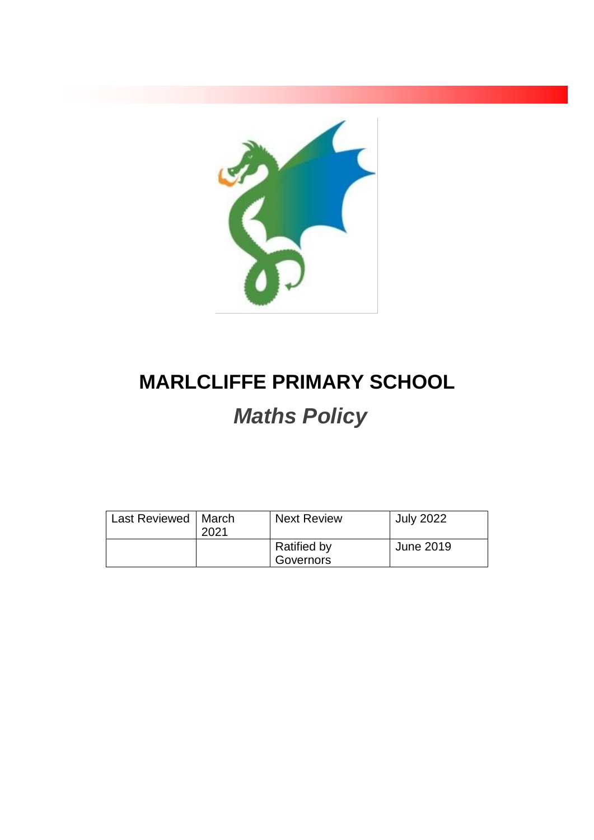

# **MARLCLIFFE PRIMARY SCHOOL** *Maths Policy*

| Last Reviewed   March | 2021 | <b>Next Review</b>              | <b>July 2022</b> |
|-----------------------|------|---------------------------------|------------------|
|                       |      | <b>Ratified by</b><br>Governors | June 2019        |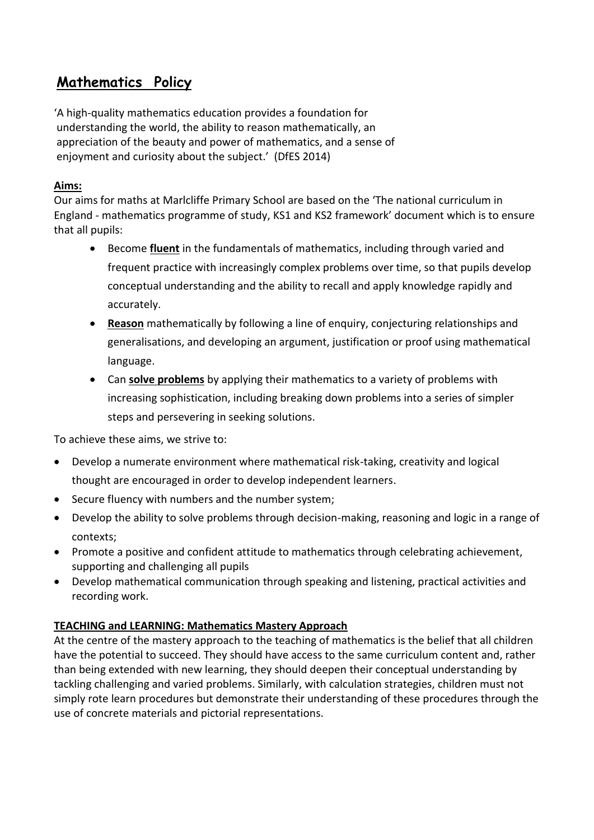# **Mathematics Policy**

'A high-quality mathematics education provides a foundation for understanding the world, the ability to reason mathematically, an appreciation of the beauty and power of mathematics, and a sense of enjoyment and curiosity about the subject.' (DfES 2014)

# **Aims:**

Our aims for maths at Marlcliffe Primary School are based on the 'The national curriculum in England - mathematics programme of study, KS1 and KS2 framework' document which is to ensure that all pupils:

- Become **fluent** in the fundamentals of mathematics, including through varied and frequent practice with increasingly complex problems over time, so that pupils develop conceptual understanding and the ability to recall and apply knowledge rapidly and accurately.
- **Reason** mathematically by following a line of enquiry, conjecturing relationships and generalisations, and developing an argument, justification or proof using mathematical language.
- Can **solve problems** by applying their mathematics to a variety of problems with increasing sophistication, including breaking down problems into a series of simpler steps and persevering in seeking solutions.

To achieve these aims, we strive to:

- Develop a numerate environment where mathematical risk-taking, creativity and logical thought are encouraged in order to develop independent learners.
- Secure fluency with numbers and the number system;
- Develop the ability to solve problems through decision-making, reasoning and logic in a range of contexts;
- Promote a positive and confident attitude to mathematics through celebrating achievement, supporting and challenging all pupils
- Develop mathematical communication through speaking and listening, practical activities and recording work.

# **TEACHING and LEARNING: Mathematics Mastery Approach**

At the centre of the mastery approach to the teaching of mathematics is the belief that all children have the potential to succeed. They should have access to the same curriculum content and, rather than being extended with new learning, they should deepen their conceptual understanding by tackling challenging and varied problems. Similarly, with calculation strategies, children must not simply rote learn procedures but demonstrate their understanding of these procedures through the use of concrete materials and pictorial representations.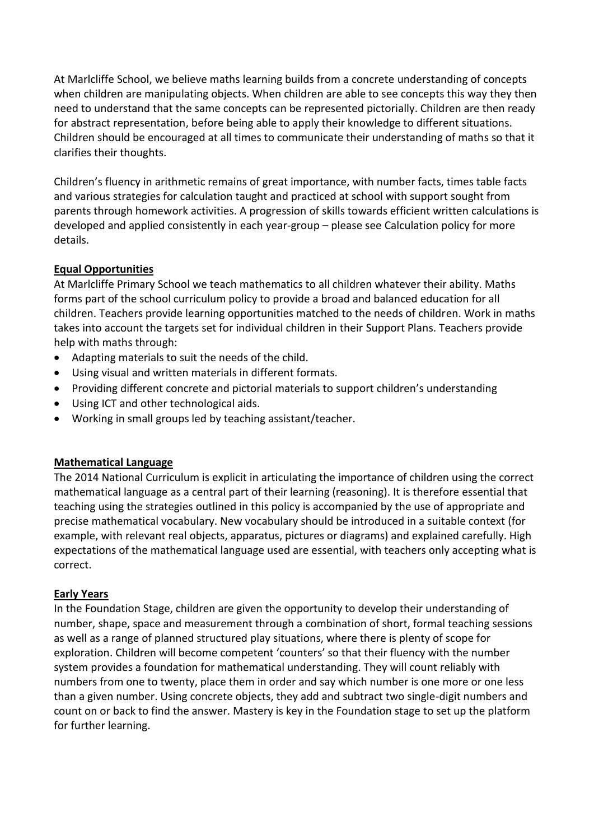At Marlcliffe School, we believe maths learning builds from a concrete understanding of concepts when children are manipulating objects. When children are able to see concepts this way they then need to understand that the same concepts can be represented pictorially. Children are then ready for abstract representation, before being able to apply their knowledge to different situations. Children should be encouraged at all times to communicate their understanding of maths so that it clarifies their thoughts.

Children's fluency in arithmetic remains of great importance, with number facts, times table facts and various strategies for calculation taught and practiced at school with support sought from parents through homework activities. A progression of skills towards efficient written calculations is developed and applied consistently in each year-group – please see Calculation policy for more details.

### **Equal Opportunities**

At Marlcliffe Primary School we teach mathematics to all children whatever their ability. Maths forms part of the school curriculum policy to provide a broad and balanced education for all children. Teachers provide learning opportunities matched to the needs of children. Work in maths takes into account the targets set for individual children in their Support Plans. Teachers provide help with maths through:

- Adapting materials to suit the needs of the child.
- Using visual and written materials in different formats.
- Providing different concrete and pictorial materials to support children's understanding
- Using ICT and other technological aids.
- Working in small groups led by teaching assistant/teacher.

#### **Mathematical Language**

The 2014 National Curriculum is explicit in articulating the importance of children using the correct mathematical language as a central part of their learning (reasoning). It is therefore essential that teaching using the strategies outlined in this policy is accompanied by the use of appropriate and precise mathematical vocabulary. New vocabulary should be introduced in a suitable context (for example, with relevant real objects, apparatus, pictures or diagrams) and explained carefully. High expectations of the mathematical language used are essential, with teachers only accepting what is correct.

#### **Early Years**

In the Foundation Stage, children are given the opportunity to develop their understanding of number, shape, space and measurement through a combination of short, formal teaching sessions as well as a range of planned structured play situations, where there is plenty of scope for exploration. Children will become competent 'counters' so that their fluency with the number system provides a foundation for mathematical understanding. They will count reliably with numbers from one to twenty, place them in order and say which number is one more or one less than a given number. Using concrete objects, they add and subtract two single-digit numbers and count on or back to find the answer. Mastery is key in the Foundation stage to set up the platform for further learning.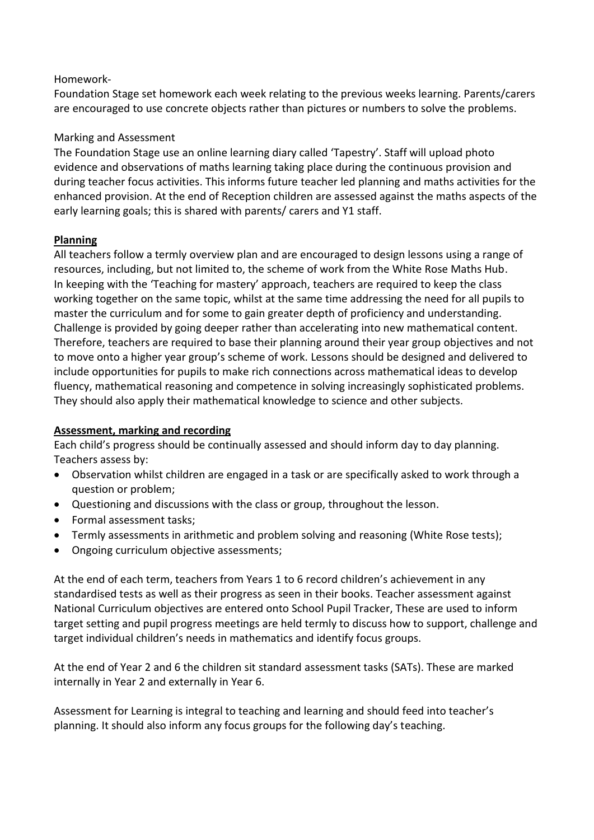#### Homework-

Foundation Stage set homework each week relating to the previous weeks learning. Parents/carers are encouraged to use concrete objects rather than pictures or numbers to solve the problems.

#### Marking and Assessment

The Foundation Stage use an online learning diary called 'Tapestry'. Staff will upload photo evidence and observations of maths learning taking place during the continuous provision and during teacher focus activities. This informs future teacher led planning and maths activities for the enhanced provision. At the end of Reception children are assessed against the maths aspects of the early learning goals; this is shared with parents/ carers and Y1 staff.

#### **Planning**

All teachers follow a termly overview plan and are encouraged to design lessons using a range of resources, including, but not limited to, the scheme of work from the White Rose Maths Hub. In keeping with the 'Teaching for mastery' approach, teachers are required to keep the class working together on the same topic, whilst at the same time addressing the need for all pupils to master the curriculum and for some to gain greater depth of proficiency and understanding. Challenge is provided by going deeper rather than accelerating into new mathematical content. Therefore, teachers are required to base their planning around their year group objectives and not to move onto a higher year group's scheme of work. Lessons should be designed and delivered to include opportunities for pupils to make rich connections across mathematical ideas to develop fluency, mathematical reasoning and competence in solving increasingly sophisticated problems. They should also apply their mathematical knowledge to science and other subjects.

#### **Assessment, marking and recording**

Each child's progress should be continually assessed and should inform day to day planning. Teachers assess by:

- Observation whilst children are engaged in a task or are specifically asked to work through a question or problem;
- Questioning and discussions with the class or group, throughout the lesson.
- Formal assessment tasks;
- Termly assessments in arithmetic and problem solving and reasoning (White Rose tests);
- Ongoing curriculum objective assessments;

At the end of each term, teachers from Years 1 to 6 record children's achievement in any standardised tests as well as their progress as seen in their books. Teacher assessment against National Curriculum objectives are entered onto School Pupil Tracker, These are used to inform target setting and pupil progress meetings are held termly to discuss how to support, challenge and target individual children's needs in mathematics and identify focus groups.

At the end of Year 2 and 6 the children sit standard assessment tasks (SATs). These are marked internally in Year 2 and externally in Year 6.

Assessment for Learning is integral to teaching and learning and should feed into teacher's planning. It should also inform any focus groups for the following day's teaching.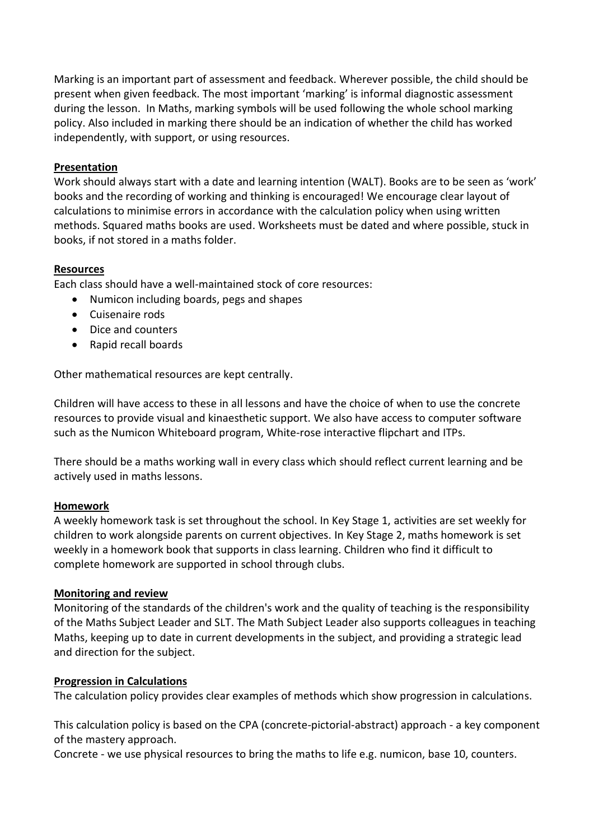Marking is an important part of assessment and feedback. Wherever possible, the child should be present when given feedback. The most important 'marking' is informal diagnostic assessment during the lesson. In Maths, marking symbols will be used following the whole school marking policy. Also included in marking there should be an indication of whether the child has worked independently, with support, or using resources.

#### **Presentation**

Work should always start with a date and learning intention (WALT). Books are to be seen as 'work' books and the recording of working and thinking is encouraged! We encourage clear layout of calculations to minimise errors in accordance with the calculation policy when using written methods. Squared maths books are used. Worksheets must be dated and where possible, stuck in books, if not stored in a maths folder.

#### **Resources**

Each class should have a well-maintained stock of core resources:

- Numicon including boards, pegs and shapes
- Cuisenaire rods
- Dice and counters
- Rapid recall boards

Other mathematical resources are kept centrally.

Children will have access to these in all lessons and have the choice of when to use the concrete resources to provide visual and kinaesthetic support. We also have access to computer software such as the Numicon Whiteboard program, White-rose interactive flipchart and ITPs.

There should be a maths working wall in every class which should reflect current learning and be actively used in maths lessons.

#### **Homework**

A weekly homework task is set throughout the school. In Key Stage 1, activities are set weekly for children to work alongside parents on current objectives. In Key Stage 2, maths homework is set weekly in a homework book that supports in class learning. Children who find it difficult to complete homework are supported in school through clubs.

#### **Monitoring and review**

Monitoring of the standards of the children's work and the quality of teaching is the responsibility of the Maths Subject Leader and SLT. The Math Subject Leader also supports colleagues in teaching Maths, keeping up to date in current developments in the subject, and providing a strategic lead and direction for the subject.

#### **Progression in Calculations**

The calculation policy provides clear examples of methods which show progression in calculations.

This calculation policy is based on the CPA (concrete-pictorial-abstract) approach - a key component of the mastery approach.

Concrete - we use physical resources to bring the maths to life e.g. numicon, base 10, counters.